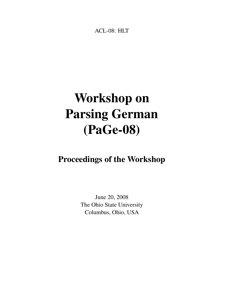<span id="page-0-0"></span>ACL-08: HLT

# Workshop on Parsing German (PaGe-08)

## Proceedings of the Workshop

June 20, 2008 The Ohio State University Columbus, Ohio, USA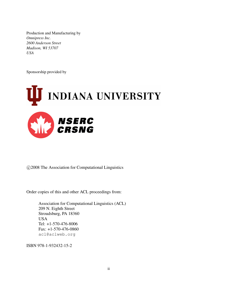Production and Manufacturing by *Omnipress Inc. 2600 Anderson Street Madison, WI 53707 USA*

Sponsorship provided by



c 2008 The Association for Computational Linguistics

Order copies of this and other ACL proceedings from:

Association for Computational Linguistics (ACL) 209 N. Eighth Street Stroudsburg, PA 18360 USA Tel: +1-570-476-8006 Fax: +1-570-476-0860 acl@aclweb.org

ISBN 978-1-932432-15-2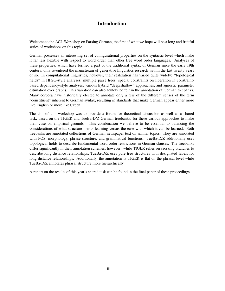## Introduction

Welcome to the ACL Workshop on Parsing German, the first of what we hope will be a long and fruitful series of workshops on this topic.

German possesses an interesting set of configurational properties on the syntactic level which make it far less flexible with respect to word order than other free word order languages. Analyses of these properties, which have formed a part of the traditional syntax of German since the early 19th century, only re-entered the mainstream of generative linguistics research within the last twenty years or so. In computational linguistics, however, their realization has varied quite widely: "topological fields" in HPSG-style analyses, multiple parse trees, special constraints on liberation in constraintbased dependency-style analyses, various hybrid "deep/shallow" approaches, and agnostic parameter estimation over graphs. This variation can also acutely be felt in the annotation of German treebanks. Many corpora have historically elected to annotate only a few of the different senses of the term "constituent" inherent to German syntax, resulting in standards that make German appear either more like English or more like Czech.

The aim of this workshop was to provide a forum for theoretical discussion as well as a shared task, based on the TIGER and TueBa-D/Z German treebanks, for these various approaches to make their case on empirical grounds. This combination we believe to be essential to balancing the considerations of what structure merits learning versus the ease with which it can be learned. Both treebanks are annotated collections of German newspaper text on similar topics. They are annotated with POS, morphology, phrase structure, and grammatical functions. TueBa-D/Z additionally uses topological fields to describe fundamental word order restrictions in German clauses. The treebanks differ significantly in their annotation schemes, however: while TIGER relies on crossing branches to describe long distance relationships, TueBa-D/Z uses pure tree structures with designated labels for long distance relationships. Additionally, the annotation is TIGER is flat on the phrasal level while TueBa-D/Z annotates phrasal structure more hierarchically.

A report on the results of this year's shared task can be found in the final paper of these proceedings.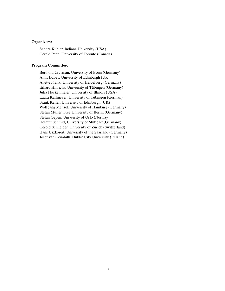#### Organizers:

Sandra Kübler, Indiana University (USA) Gerald Penn, University of Toronto (Canada)

#### Program Committee:

Berthold Crysman, University of Bonn (Germany) Amit Dubey, University of Edinburgh (UK) Anette Frank, University of Heidelberg (Germany) Erhard Hinrichs, University of Tubingen (Germany) ¨ Julia Hockenmeier, University of Illinois (USA) Laura Kallmeyer, University of Tübingen (Germany) Frank Keller, University of Edinburgh (UK) Wolfgang Menzel, University of Hamburg (Germany) Stefan Müller, Free University of Berlin (Germany) Stefan Oepen, University of Oslo (Norway) Helmut Schmid, University of Stuttgart (Germany) Gerold Schneider, University of Zürich (Switzerland) Hans Uszkoreit, University of the Saarland (Germany) Josef van Genabith, Dublin City University (Ireland)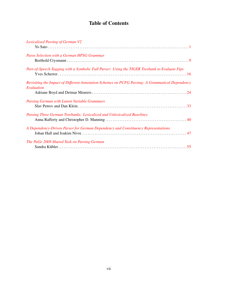## Table of Contents

| <b>Lexicalised Parsing of German V2</b>                                                                       |  |
|---------------------------------------------------------------------------------------------------------------|--|
|                                                                                                               |  |
| Parse Selection with a German HPSG Grammar                                                                    |  |
|                                                                                                               |  |
| Part-of-Speech Tagging with a Symbolic Full Parser: Using the TIGER Treebank to Evaluate Fips                 |  |
| Revisiting the Impact of Different Annotation Schemes on PCFG Parsing: A Grammatical Dependency<br>Evaluation |  |
|                                                                                                               |  |
| <b>Parsing German with Latent Variable Grammars</b>                                                           |  |
|                                                                                                               |  |
| Parsing Three German Treebanks: Lexicalized and Unlexicalized Baselines                                       |  |
|                                                                                                               |  |
| A Dependency-Driven Parser for German Dependency and Constituency Representations                             |  |
|                                                                                                               |  |
| The PaGe 2008 Shared Task on Parsing German                                                                   |  |
|                                                                                                               |  |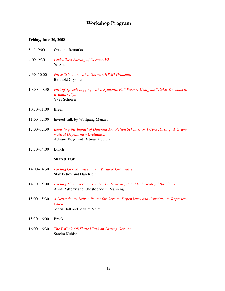### Workshop Program

#### Friday, June 20, 2008

| $8:45 - 9:00$ | <b>Opening Remarks</b> |
|---------------|------------------------|
|---------------|------------------------|

- 9:00–9:30 *[Lexicalised Parsing of German V2](#page-0-0)* Yo Sato
- 9:30–10:00 *[Parse Selection with a German HPSG Grammar](#page-0-0)* Berthold Crysmann
- 10:00–10:30 *[Part-of-Speech Tagging with a Symbolic Full Parser: Using the TIGER Treebank to](#page-0-0) [Evaluate Fips](#page-0-0)* Yves Scherrer
- 10:30–11:00 Break
- 11:00–12:00 Invited Talk by Wolfgang Menzel
- 12:00–12:30 *[Revisiting the Impact of Different Annotation Schemes on PCFG Parsing: A Gram](#page-0-0)[matical Dependency Evaluation](#page-0-0)* Adriane Boyd and Detmar Meurers
- 12:30–14:00 Lunch

#### Shared Task

- 14:00–14:30 *[Parsing German with Latent Variable Grammars](#page-0-0)* Slav Petrov and Dan Klein
- 14:30–15:00 *[Parsing Three German Treebanks: Lexicalized and Unlexicalized Baselines](#page-0-0)* Anna Rafferty and Christopher D. Manning
- 15:00–15:30 *[A Dependency-Driven Parser for German Dependency and Constituency Represen](#page-0-0)[tations](#page-0-0)* Johan Hall and Joakim Nivre
- 15:30–16:00 Break
- 16:00–16:30 *[The PaGe 2008 Shared Task on Parsing German](#page-0-0)* Sandra Kübler